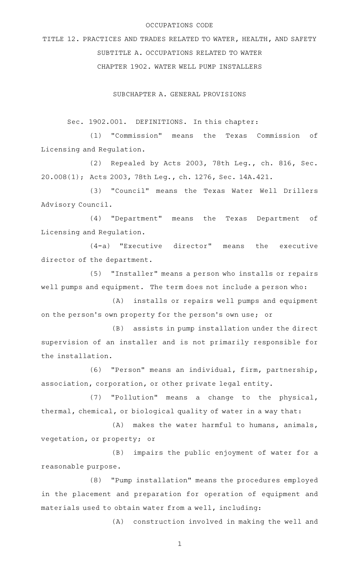### OCCUPATIONS CODE

TITLE 12. PRACTICES AND TRADES RELATED TO WATER, HEALTH, AND SAFETY SUBTITLE A. OCCUPATIONS RELATED TO WATER CHAPTER 1902. WATER WELL PUMP INSTALLERS

SUBCHAPTER A. GENERAL PROVISIONS

Sec. 1902.001. DEFINITIONS. In this chapter:

(1) "Commission" means the Texas Commission of Licensing and Regulation.

(2) Repealed by Acts 2003, 78th Leg., ch. 816, Sec. 20.008(1); Acts 2003, 78th Leg., ch. 1276, Sec. 14A.421.

(3) "Council" means the Texas Water Well Drillers Advisory Council.

(4) "Department" means the Texas Department of Licensing and Regulation.

 $(4-a)$  "Executive director" means the executive director of the department.

(5) "Installer" means a person who installs or repairs well pumps and equipment. The term does not include a person who:

(A) installs or repairs well pumps and equipment on the person 's own property for the person 's own use; or

(B) assists in pump installation under the direct supervision of an installer and is not primarily responsible for the installation.

(6) "Person" means an individual, firm, partnership, association, corporation, or other private legal entity.

(7) "Pollution" means a change to the physical, thermal, chemical, or biological quality of water in a way that:

 $(A)$  makes the water harmful to humans, animals, vegetation, or property; or

(B) impairs the public enjoyment of water for a reasonable purpose.

(8) "Pump installation" means the procedures employed in the placement and preparation for operation of equipment and materials used to obtain water from a well, including:

(A) construction involved in making the well and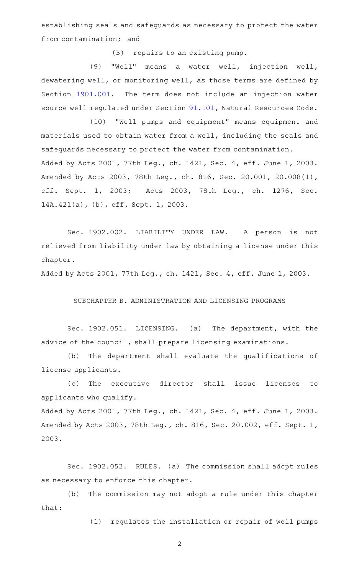establishing seals and safeguards as necessary to protect the water from contamination; and

(B) repairs to an existing pump.

(9) "Well" means a water well, injection well, dewatering well, or monitoring well, as those terms are defined by Section [1901.001.](http://www.statutes.legis.state.tx.us/GetStatute.aspx?Code=OC&Value=1901.001) The term does not include an injection water source well regulated under Section [91.101](http://www.statutes.legis.state.tx.us/GetStatute.aspx?Code=NR&Value=91.101), Natural Resources Code.

(10) "Well pumps and equipment" means equipment and materials used to obtain water from a well, including the seals and safeguards necessary to protect the water from contamination. Added by Acts 2001, 77th Leg., ch. 1421, Sec. 4, eff. June 1, 2003. Amended by Acts 2003, 78th Leg., ch. 816, Sec. 20.001, 20.008(1), eff. Sept. 1, 2003; Acts 2003, 78th Leg., ch. 1276, Sec. 14A.421(a), (b), eff. Sept. 1, 2003.

Sec. 1902.002. LIABILITY UNDER LAW. A person is not relieved from liability under law by obtaining a license under this chapter.

Added by Acts 2001, 77th Leg., ch. 1421, Sec. 4, eff. June 1, 2003.

### SUBCHAPTER B. ADMINISTRATION AND LICENSING PROGRAMS

Sec. 1902.051. LICENSING. (a) The department, with the advice of the council, shall prepare licensing examinations.

(b) The department shall evaluate the qualifications of license applicants.

(c) The executive director shall issue licenses to applicants who qualify.

Added by Acts 2001, 77th Leg., ch. 1421, Sec. 4, eff. June 1, 2003. Amended by Acts 2003, 78th Leg., ch. 816, Sec. 20.002, eff. Sept. 1, 2003.

Sec. 1902.052. RULES. (a) The commission shall adopt rules as necessary to enforce this chapter.

(b) The commission may not adopt a rule under this chapter that:

(1) regulates the installation or repair of well pumps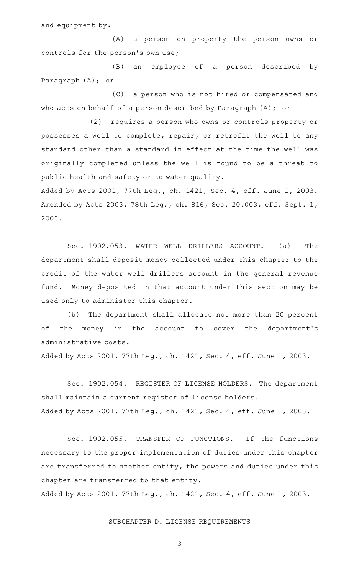and equipment by:

(A) a person on property the person owns or controls for the person's own use;

(B) an employee of a person described by Paragraph (A); or

(C) a person who is not hired or compensated and who acts on behalf of a person described by Paragraph (A); or

(2) requires a person who owns or controls property or possesses a well to complete, repair, or retrofit the well to any standard other than a standard in effect at the time the well was originally completed unless the well is found to be a threat to public health and safety or to water quality.

Added by Acts 2001, 77th Leg., ch. 1421, Sec. 4, eff. June 1, 2003. Amended by Acts 2003, 78th Leg., ch. 816, Sec. 20.003, eff. Sept. 1, 2003.

Sec. 1902.053. WATER WELL DRILLERS ACCOUNT. (a) The department shall deposit money collected under this chapter to the credit of the water well drillers account in the general revenue fund. Money deposited in that account under this section may be used only to administer this chapter.

(b) The department shall allocate not more than 20 percent of the money in the account to cover the department's administrative costs.

Added by Acts 2001, 77th Leg., ch. 1421, Sec. 4, eff. June 1, 2003.

Sec. 1902.054. REGISTER OF LICENSE HOLDERS. The department shall maintain a current register of license holders. Added by Acts 2001, 77th Leg., ch. 1421, Sec. 4, eff. June 1, 2003.

Sec. 1902.055. TRANSFER OF FUNCTIONS. If the functions necessary to the proper implementation of duties under this chapter are transferred to another entity, the powers and duties under this chapter are transferred to that entity.

Added by Acts 2001, 77th Leg., ch. 1421, Sec. 4, eff. June 1, 2003.

## SUBCHAPTER D. LICENSE REQUIREMENTS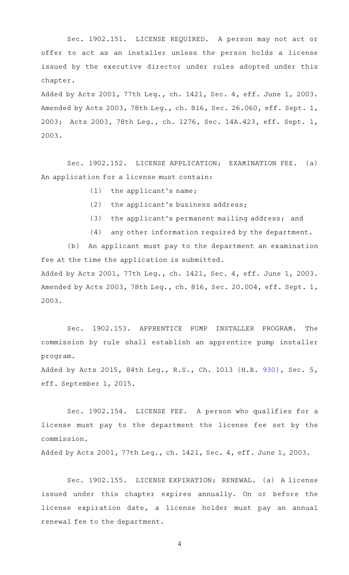Sec. 1902.151. LICENSE REQUIRED. A person may not act or offer to act as an installer unless the person holds a license issued by the executive director under rules adopted under this chapter.

Added by Acts 2001, 77th Leg., ch. 1421, Sec. 4, eff. June 1, 2003. Amended by Acts 2003, 78th Leg., ch. 816, Sec. 26.060, eff. Sept. 1, 2003; Acts 2003, 78th Leg., ch. 1276, Sec. 14A.423, eff. Sept. 1, 2003.

Sec. 1902.152. LICENSE APPLICATION; EXAMINATION FEE. (a) An application for a license must contain:

- $(1)$  the applicant's name;
- $(2)$  the applicant's business address;
- (3) the applicant's permanent mailing address; and
- (4) any other information required by the department.

(b) An applicant must pay to the department an examination fee at the time the application is submitted. Added by Acts 2001, 77th Leg., ch. 1421, Sec. 4, eff. June 1, 2003.

Amended by Acts 2003, 78th Leg., ch. 816, Sec. 20.004, eff. Sept. 1, 2003.

Sec. 1902.153. APPRENTICE PUMP INSTALLER PROGRAM. The commission by rule shall establish an apprentice pump installer program.

Added by Acts 2015, 84th Leg., R.S., Ch. 1013 (H.B. [930](http://www.legis.state.tx.us/tlodocs/84R/billtext/html/HB00930F.HTM)), Sec. 5, eff. September 1, 2015.

Sec. 1902.154. LICENSE FEE. A person who qualifies for a license must pay to the department the license fee set by the commission.

Added by Acts 2001, 77th Leg., ch. 1421, Sec. 4, eff. June 1, 2003.

Sec. 1902.155. LICENSE EXPIRATION; RENEWAL. (a) A license issued under this chapter expires annually. On or before the license expiration date, a license holder must pay an annual renewal fee to the department.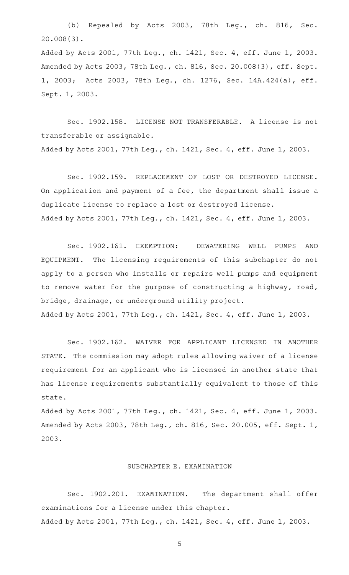(b) Repealed by Acts 2003, 78th Leg., ch. 816, Sec. 20.008(3).

Added by Acts 2001, 77th Leg., ch. 1421, Sec. 4, eff. June 1, 2003. Amended by Acts 2003, 78th Leg., ch. 816, Sec. 20.008(3), eff. Sept. 1, 2003; Acts 2003, 78th Leg., ch. 1276, Sec. 14A.424(a), eff. Sept. 1, 2003.

Sec. 1902.158. LICENSE NOT TRANSFERABLE. A license is not transferable or assignable.

Added by Acts 2001, 77th Leg., ch. 1421, Sec. 4, eff. June 1, 2003.

Sec. 1902.159. REPLACEMENT OF LOST OR DESTROYED LICENSE. On application and payment of a fee, the department shall issue a duplicate license to replace a lost or destroyed license. Added by Acts 2001, 77th Leg., ch. 1421, Sec. 4, eff. June 1, 2003.

Sec. 1902.161. EXEMPTION: DEWATERING WELL PUMPS AND EQUIPMENT. The licensing requirements of this subchapter do not apply to a person who installs or repairs well pumps and equipment to remove water for the purpose of constructing a highway, road, bridge, drainage, or underground utility project. Added by Acts 2001, 77th Leg., ch. 1421, Sec. 4, eff. June 1, 2003.

Sec. 1902.162. WAIVER FOR APPLICANT LICENSED IN ANOTHER STATE. The commission may adopt rules allowing waiver of a license requirement for an applicant who is licensed in another state that has license requirements substantially equivalent to those of this state.

Added by Acts 2001, 77th Leg., ch. 1421, Sec. 4, eff. June 1, 2003. Amended by Acts 2003, 78th Leg., ch. 816, Sec. 20.005, eff. Sept. 1, 2003.

## SUBCHAPTER E. EXAMINATION

Sec. 1902.201. EXAMINATION. The department shall offer examinations for a license under this chapter. Added by Acts 2001, 77th Leg., ch. 1421, Sec. 4, eff. June 1, 2003.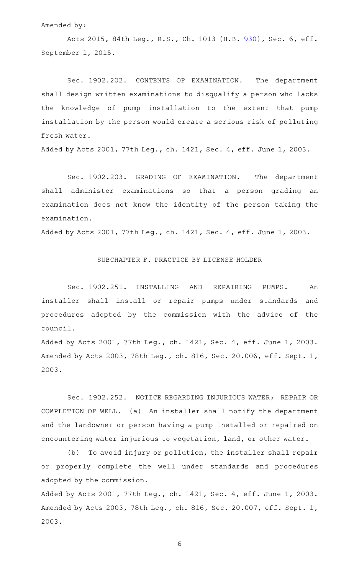Amended by:

Acts 2015, 84th Leg., R.S., Ch. 1013 (H.B. [930](http://www.legis.state.tx.us/tlodocs/84R/billtext/html/HB00930F.HTM)), Sec. 6, eff. September 1, 2015.

Sec. 1902.202. CONTENTS OF EXAMINATION. The department shall design written examinations to disqualify a person who lacks the knowledge of pump installation to the extent that pump installation by the person would create a serious risk of polluting fresh water.

Added by Acts 2001, 77th Leg., ch. 1421, Sec. 4, eff. June 1, 2003.

Sec. 1902.203. GRADING OF EXAMINATION. The department shall administer examinations so that a person grading an examination does not know the identity of the person taking the examination.

Added by Acts 2001, 77th Leg., ch. 1421, Sec. 4, eff. June 1, 2003.

# SUBCHAPTER F. PRACTICE BY LICENSE HOLDER

Sec. 1902.251. INSTALLING AND REPAIRING PUMPS. An installer shall install or repair pumps under standards and procedures adopted by the commission with the advice of the council.

Added by Acts 2001, 77th Leg., ch. 1421, Sec. 4, eff. June 1, 2003. Amended by Acts 2003, 78th Leg., ch. 816, Sec. 20.006, eff. Sept. 1, 2003.

Sec. 1902.252. NOTICE REGARDING INJURIOUS WATER; REPAIR OR COMPLETION OF WELL. (a) An installer shall notify the department and the landowner or person having a pump installed or repaired on encountering water injurious to vegetation, land, or other water.

(b) To avoid injury or pollution, the installer shall repair or properly complete the well under standards and procedures adopted by the commission.

Added by Acts 2001, 77th Leg., ch. 1421, Sec. 4, eff. June 1, 2003. Amended by Acts 2003, 78th Leg., ch. 816, Sec. 20.007, eff. Sept. 1, 2003.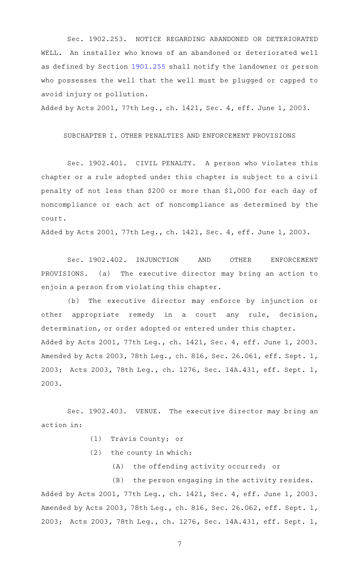Sec. 1902.253. NOTICE REGARDING ABANDONED OR DETERIORATED WELL. An installer who knows of an abandoned or deteriorated well as defined by Section [1901.255](http://www.statutes.legis.state.tx.us/GetStatute.aspx?Code=OC&Value=1901.255) shall notify the landowner or person who possesses the well that the well must be plugged or capped to avoid injury or pollution.

Added by Acts 2001, 77th Leg., ch. 1421, Sec. 4, eff. June 1, 2003.

### SUBCHAPTER I. OTHER PENALTIES AND ENFORCEMENT PROVISIONS

Sec. 1902.401. CIVIL PENALTY. A person who violates this chapter or a rule adopted under this chapter is subject to a civil penalty of not less than \$200 or more than \$1,000 for each day of noncompliance or each act of noncompliance as determined by the court.

Added by Acts 2001, 77th Leg., ch. 1421, Sec. 4, eff. June 1, 2003.

Sec. 1902.402. INJUNCTION AND OTHER ENFORCEMENT PROVISIONS. (a) The executive director may bring an action to enjoin a person from violating this chapter.

(b) The executive director may enforce by injunction or other appropriate remedy in a court any rule, decision, determination, or order adopted or entered under this chapter. Added by Acts 2001, 77th Leg., ch. 1421, Sec. 4, eff. June 1, 2003. Amended by Acts 2003, 78th Leg., ch. 816, Sec. 26.061, eff. Sept. 1, 2003; Acts 2003, 78th Leg., ch. 1276, Sec. 14A.431, eff. Sept. 1, 2003.

Sec. 1902.403. VENUE. The executive director may bring an action in:

- (1) Travis County; or
- $(2)$  the county in which:
	- (A) the offending activity occurred; or

(B) the person engaging in the activity resides. Added by Acts 2001, 77th Leg., ch. 1421, Sec. 4, eff. June 1, 2003. Amended by Acts 2003, 78th Leg., ch. 816, Sec. 26.062, eff. Sept. 1, 2003; Acts 2003, 78th Leg., ch. 1276, Sec. 14A.431, eff. Sept. 1,